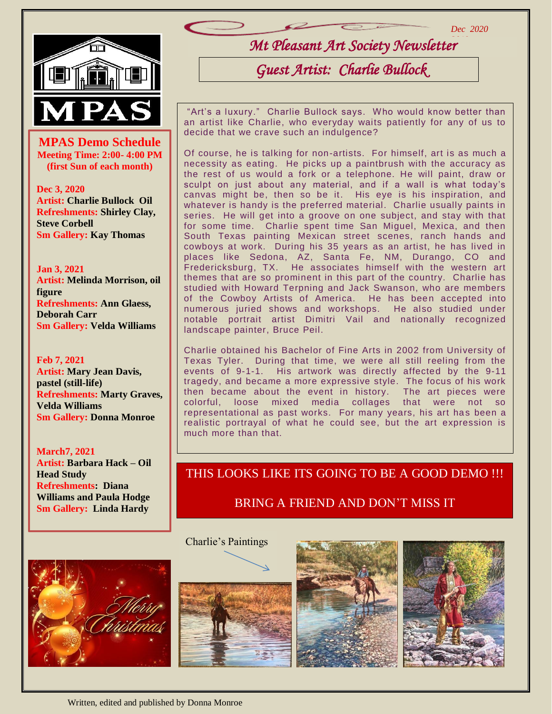

**MPAS Demo Schedule**<br>
Meeting Time: 2:00- 4:00 PM **Meeting Time: 2:00- 4:00 PM (first Sun of each month)**

**Dec 3, 2020 Artist: Charlie Bullock Oil Refreshments: Shirley Clay, Steve Corbell Sm Gallery: Kay Thomas**

**Jan 3, 2021 Artist: Melinda Morrison, oil figure Refreshments: Ann Glaess, Deborah Carr Sm Gallery: Velda Williams**

**Feb 7, 2021 Artist: Mary Jean Davis, pastel (still-life) Refreshments: Marty Graves, Velda Williams Sm Gallery: Donna Monroe**

**March7, 2021 Artist: Barbara Hack – Oil Head Study Refreshments: Diana Williams and Paula Hodge Sm Gallery: Linda Hardy**

֚֡֕

*Mt Pleasant Art Society Newsletter 2019 Dec 2020*

# *Guest Artist: Charlie Bullock*

"Art's a luxury." Charlie Bullock says. Who would know better than an artist like Charlie, who everyday waits patiently for any of us to decide that we crave such an indulgence?

Of course, he is talking for non-artists. For himself, art is as much a necessity as eating. He picks up a paintbrush with the accuracy as the rest of us would a fork or a telephone. He will paint, draw or sculpt on just about any material, and if a wall is what today's canvas might be, then so be it. His eye is his inspiration, and whatever is handy is the preferred material. Charlie usually paints in series. He will get into a groove on one subject, and stay with that for some time. Charlie spent time San Miguel, Mexica, and then South Texas painting Mexican street scenes, ranch hands and cowboys at work. During his 35 years as an artist, he has lived in places like Sedona, AZ, Santa Fe, NM, Durango, CO and Fredericksburg, TX. He associates himself with the western art themes that are so prominent in this part of the country. Charlie has studied with Howard Terpning and Jack Swanson, who are members of the Cowboy Artists of America. He has been accepted into numerous juried shows and workshops. He also studied under notable portrait artist Dimitri Vail and nationally recognized landscape painter, Bruce Peil.

Charlie obtained his Bachelor of Fine Arts in 2002 from University of Texas Tyler. During that time, we were all still reeling from the events of 9-1-1. His artwork was directly affected by the 9-11 tragedy, and became a more expressive style. The focus of his work then became about the event in history. The art pieces were colorful, loose mixed media collages that were not representational as past works. For many years, his art has been a realistic portrayal of what he could see, but the art expression is much more than that.

## THIS LOOKS LIKE ITS GOING TO BE A GOOD DEMO !!!

BRING A FRIEND AND DON'T MISS IT

Charlie's Paintings